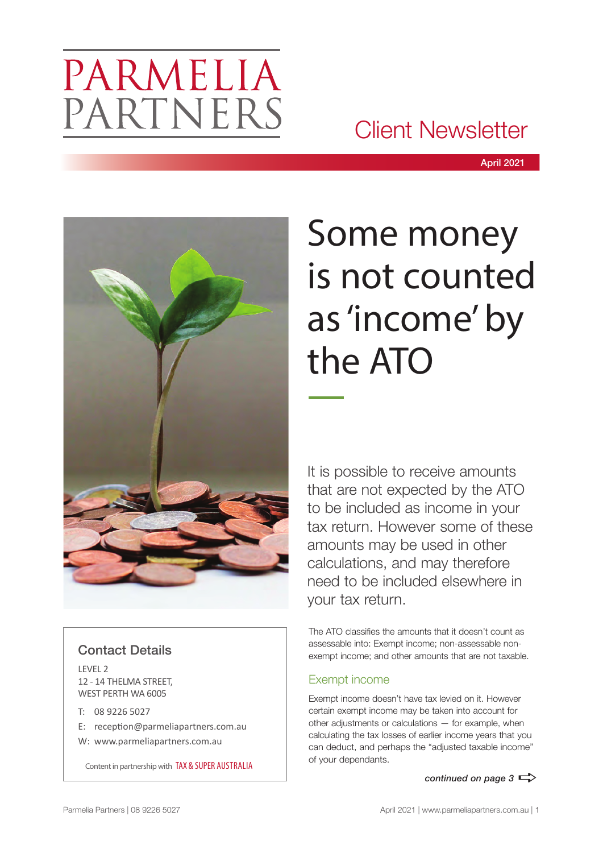# PARMELIA PARTNERS

### Client Newsletter



### Contact Details

LEVEL 2 12 - 14 THELMA STREET, WEST PERTH WA 6005

- T: 08 9226 5027
- E: reception@parmeliapartners.com.au
- W: www.parmeliapartners.com.au

Content in partnership with TAX & SUPER AUSTRALIA

# Some money is not counted as 'income' by the ATO

It is possible to receive amounts that are not expected by the ATO to be included as income in your tax return. However some of these amounts may be used in other calculations, and may therefore need to be included elsewhere in your tax return.

The ATO classifies the amounts that it doesn't count as assessable into: Exempt income; non-assessable nonexempt income; and other amounts that are not taxable.

### Exempt income

Exempt income doesn't have tax levied on it. However certain exempt income may be taken into account for other adjustments or calculations — for example, when calculating the tax losses of earlier income years that you can deduct, and perhaps the "adjusted taxable income" of your dependants.

*continued on page 3*  $\Rightarrow$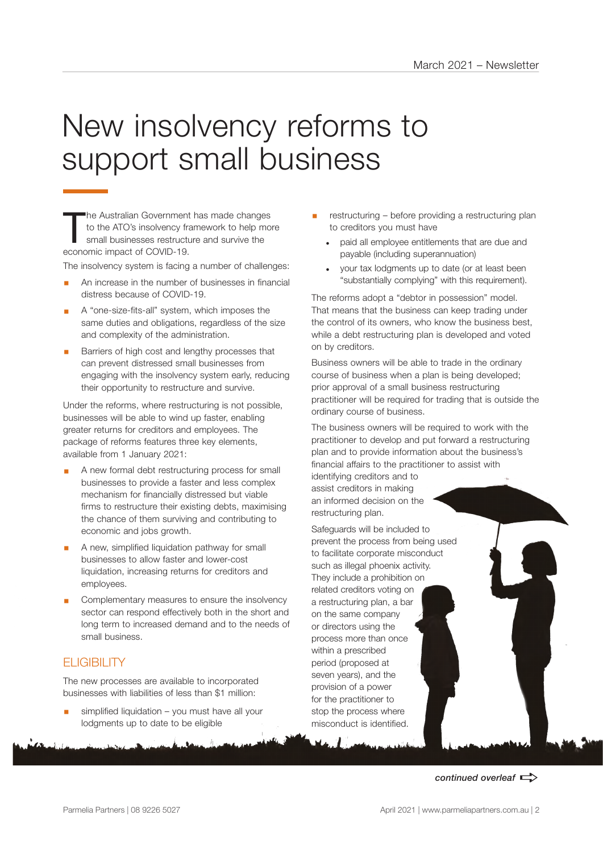# New insolvency reforms to support small business

The Australian Government to the ATO's insolvency from small businesses restruction economic impact of COVID-19. he Australian Government has made changes to the ATO's insolvency framework to help more small businesses restructure and survive the

The insolvency system is facing a number of challenges:

- An increase in the number of businesses in financial distress because of COVID-19.
- § A "one-size-fits-all" system, which imposes the same duties and obligations, regardless of the size and complexity of the administration.
- Barriers of high cost and lengthy processes that can prevent distressed small businesses from engaging with the insolvency system early, reducing their opportunity to restructure and survive.

Under the reforms, where restructuring is not possible, businesses will be able to wind up faster, enabling greater returns for creditors and employees. The package of reforms features three key elements, available from 1 January 2021:

- A new formal debt restructuring process for small businesses to provide a faster and less complex mechanism for financially distressed but viable firms to restructure their existing debts, maximising the chance of them surviving and contributing to economic and jobs growth.
- § A new, simplified liquidation pathway for small businesses to allow faster and lower-cost liquidation, increasing returns for creditors and employees.
- Complementary measures to ensure the insolvency sector can respond effectively both in the short and long term to increased demand and to the needs of small business.

### **FLIGIBILITY**

The new processes are available to incorporated businesses with liabilities of less than \$1 million:

simplified liquidation – you must have all your lodgments up to date to be eligible

- restructuring before providing a restructuring plan to creditors you must have
	- paid all employee entitlements that are due and payable (including superannuation)
	- your tax lodgments up to date (or at least been "substantially complying" with this requirement).

The reforms adopt a "debtor in possession" model. That means that the business can keep trading under the control of its owners, who know the business best, while a debt restructuring plan is developed and voted on by creditors.

Business owners will be able to trade in the ordinary course of business when a plan is being developed; prior approval of a small business restructuring practitioner will be required for trading that is outside the ordinary course of business.

The business owners will be required to work with the practitioner to develop and put forward a restructuring plan and to provide information about the business's financial affairs to the practitioner to assist with

identifying creditors and to assist creditors in making an informed decision on the restructuring plan.

Safeguards will be included to prevent the process from being used to facilitate corporate misconduct such as illegal phoenix activity. They include a prohibition on related creditors voting on a restructuring plan, a bar on the same company or directors using the process more than once within a prescribed period (proposed at seven years), and the provision of a power for the practitioner to stop the process where misconduct is identified.

continued overleaf  $\Rightarrow$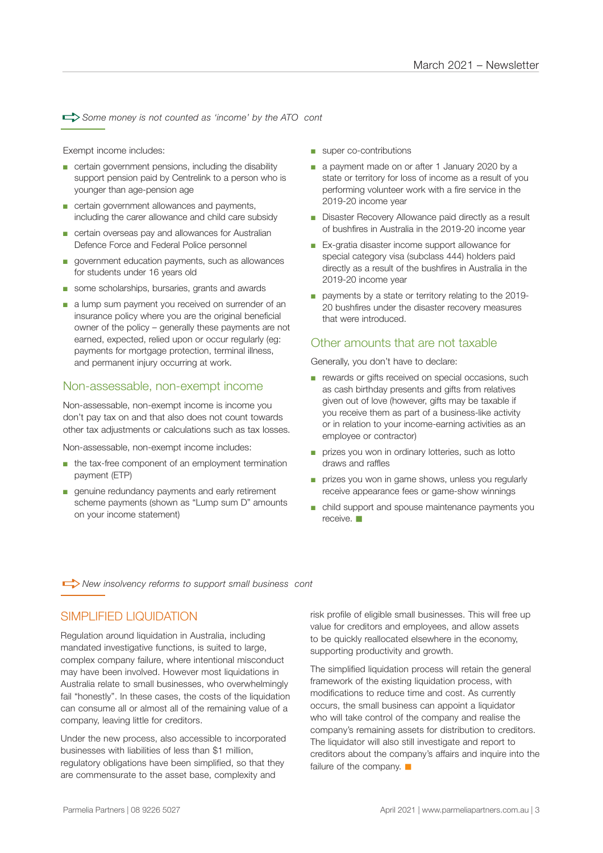$\Rightarrow$  Some money is not counted as 'income' by the ATO cont

Exempt income includes:

- certain government pensions, including the disability support pension paid by Centrelink to a person who is younger than age-pension age
- certain government allowances and payments, including the carer allowance and child care subsidy
- certain overseas pay and allowances for Australian Defence Force and Federal Police personnel
- government education payments, such as allowances for students under 16 years old
- some scholarships, bursaries, grants and awards
- a lump sum payment you received on surrender of an insurance policy where you are the original beneficial owner of the policy – generally these payments are not earned, expected, relied upon or occur regularly (eg: payments for mortgage protection, terminal illness, and permanent injury occurring at work.

#### Non-assessable, non-exempt income

Non-assessable, non-exempt income is income you don't pay tax on and that also does not count towards other tax adjustments or calculations such as tax losses.

Non-assessable, non-exempt income includes:

- the tax-free component of an employment termination payment (ETP)
- genuine redundancy payments and early retirement scheme payments (shown as "Lump sum D" amounts on your income statement)
- super co-contributions
- a payment made on or after 1 January 2020 by a state or territory for loss of income as a result of you performing volunteer work with a fire service in the 2019-20 income year
- Disaster Recovery Allowance paid directly as a result of bushfires in Australia in the 2019-20 income year
- Ex-gratia disaster income support allowance for special category visa (subclass 444) holders paid directly as a result of the bushfires in Australia in the 2019-20 income year
- payments by a state or territory relating to the 2019-20 bushfires under the disaster recovery measures that were introduced.

#### Other amounts that are not taxable

Generally, you don't have to declare:

- rewards or gifts received on special occasions, such as cash birthday presents and gifts from relatives given out of love (however, gifts may be taxable if you receive them as part of a business-like activity or in relation to your income-earning activities as an employee or contractor)
- prizes you won in ordinary lotteries, such as lotto draws and raffles
- prizes you won in game shows, unless you regularly receive appearance fees or game-show winnings
- child support and spouse maintenance payments you  $r = r \sin \theta$

**A** New insolvency reforms to support small business cont

#### SIMPLIFIED LIQUIDATION

Regulation around liquidation in Australia, including mandated investigative functions, is suited to large, complex company failure, where intentional misconduct may have been involved. However most liquidations in Australia relate to small businesses, who overwhelmingly fail "honestly". In these cases, the costs of the liquidation can consume all or almost all of the remaining value of a company, leaving little for creditors.

Under the new process, also accessible to incorporated businesses with liabilities of less than \$1 million, regulatory obligations have been simplified, so that they are commensurate to the asset base, complexity and

risk profile of eligible small businesses. This will free up value for creditors and employees, and allow assets to be quickly reallocated elsewhere in the economy, supporting productivity and growth.

The simplified liquidation process will retain the general framework of the existing liquidation process, with modifications to reduce time and cost. As currently occurs, the small business can appoint a liquidator who will take control of the company and realise the company's remaining assets for distribution to creditors. The liquidator will also still investigate and report to creditors about the company's affairs and inquire into the failure of the company.  $\blacksquare$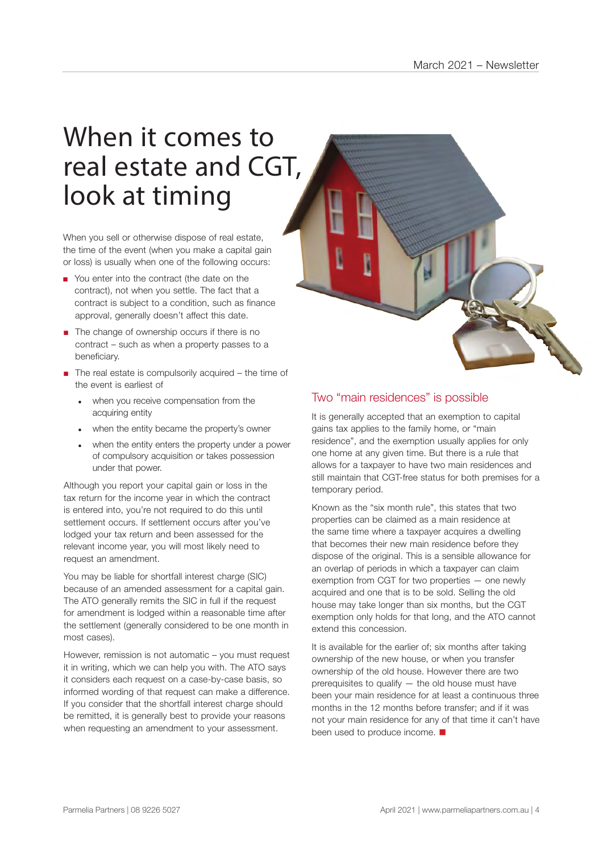## When it comes to real estate and CGT, look at timing

When you sell or otherwise dispose of real estate, the time of the event (when you make a capital gain or loss) is usually when one of the following occurs:

- approval, generally doesn't affect this date. ■ You enter into the contract (the date on the contract), not when you settle. The fact that a contract is subject to a condition, such as finance
- The change of ownership occurs if there is no contract – such as when a property passes to a beneficiary.
- The real estate is compulsorily acquired the time of the event is earliest of
	- when you receive compensation from the acquiring entity
	- when the entity became the property's owner
	- when the entity enters the property under a power of compulsory acquisition or takes possession under that power.

Although you report your capital gain or loss in the tax return for the income year in which the contract is entered into, you're not required to do this until settlement occurs. If settlement occurs after you've lodged your tax return and been assessed for the relevant income year, you will most likely need to request an amendment.

You may be liable for shortfall interest charge (SIC) because of an amended assessment for a capital gain. The ATO generally remits the SIC in full if the request for amendment is lodged within a reasonable time after the settlement (generally considered to be one month in most cases).

However, remission is not automatic – you must request it in writing, which we can help you with. The ATO says it considers each request on a case-by-case basis, so informed wording of that request can make a difference. If you consider that the shortfall interest charge should be remitted, it is generally best to provide your reasons when requesting an amendment to your assessment.

### Two "main residences" is possible

It is generally accepted that an exemption to capital gains tax applies to the family home, or "main residence", and the exemption usually applies for only one home at any given time. But there is a rule that allows for a taxpayer to have two main residences and still maintain that CGT-free status for both premises for a temporary period.

Known as the "six month rule", this states that two properties can be claimed as a main residence at the same time where a taxpayer acquires a dwelling that becomes their new main residence before they dispose of the original. This is a sensible allowance for an overlap of periods in which a taxpayer can claim exemption from CGT for two properties — one newly acquired and one that is to be sold. Selling the old house may take longer than six months, but the CGT exemption only holds for that long, and the ATO cannot extend this concession.

It is available for the earlier of; six months after taking ownership of the new house, or when you transfer ownership of the old house. However there are two prerequisites to qualify — the old house must have been your main residence for at least a continuous three months in the 12 months before transfer; and if it was not your main residence for any of that time it can't have been used to produce income.  $\blacksquare$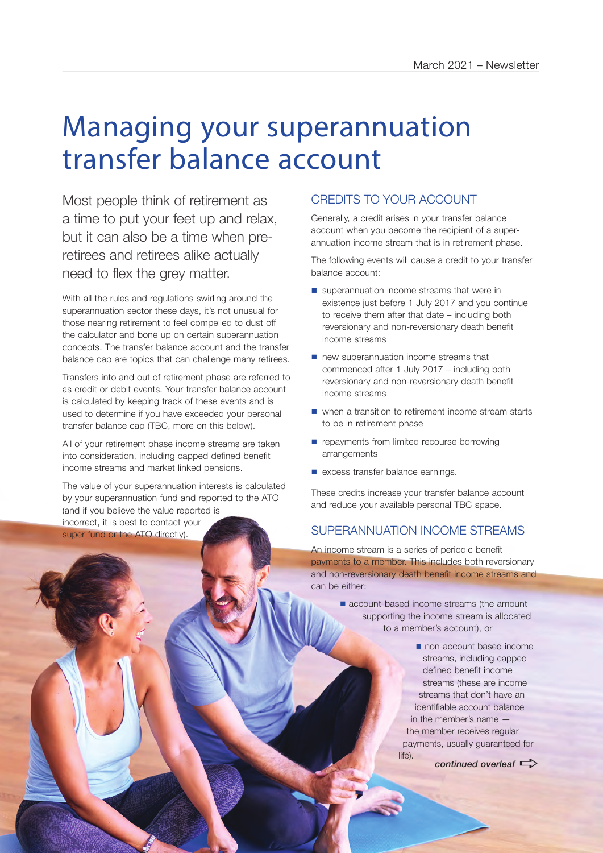# Managing your superannuation transfer balance account

Most people think of retirement as a time to put your feet up and relax, but it can also be a time when preretirees and retirees alike actually need to flex the grey matter.

With all the rules and regulations swirling around the superannuation sector these days, it's not unusual for those nearing retirement to feel compelled to dust off the calculator and bone up on certain superannuation concepts. The transfer balance account and the transfer balance cap are topics that can challenge many retirees.

Transfers into and out of retirement phase are referred to as credit or debit events. Your transfer balance account is calculated by keeping track of these events and is used to determine if you have exceeded your personal transfer balance cap (TBC, more on this below).

All of your retirement phase income streams are taken into consideration, including capped defined benefit income streams and market linked pensions.

The value of your superannuation interests is calculated by your superannuation fund and reported to the ATO (and if you believe the value reported is incorrect, it is best to contact your super fund or the ATO directly).

#### CREDITS TO YOUR ACCOUNT

Generally, a credit arises in your transfer balance account when you become the recipient of a superannuation income stream that is in retirement phase.

The following events will cause a credit to your transfer balance account:

- $\blacksquare$  superannuation income streams that were in existence just before 1 July 2017 and you continue to receive them after that date – including both reversionary and non-reversionary death benefit income streams
- $\blacksquare$  new superannuation income streams that commenced after 1 July 2017 – including both reversionary and non-reversionary death benefit income streams
- $\blacksquare$  when a transition to retirement income stream starts to be in retirement phase
- $\blacksquare$  repayments from limited recourse borrowing arrangements
- $\blacksquare$  excess transfer balance earnings.

Parmelia Partners | 08 9226 5027 April 2021 | www.parmeliapartners.com.au | 5

These credits increase your transfer balance account and reduce your available personal TBC space.

#### SUPERANNUATION INCOME STREAMS

An income stream is a series of periodic benefit payments to a member. This includes both reversionary and non-reversionary death benefit income streams and can be either:

> ■ account-based income streams (the amount supporting the income stream is allocated to a member's account), or

> > non-account based income streams, including capped defined benefit income streams (these are income streams that don't have an identifiable account balance in the member's name the member receives regular payments, usually guaranteed for life).

*continued overleaf*  $\Rightarrow$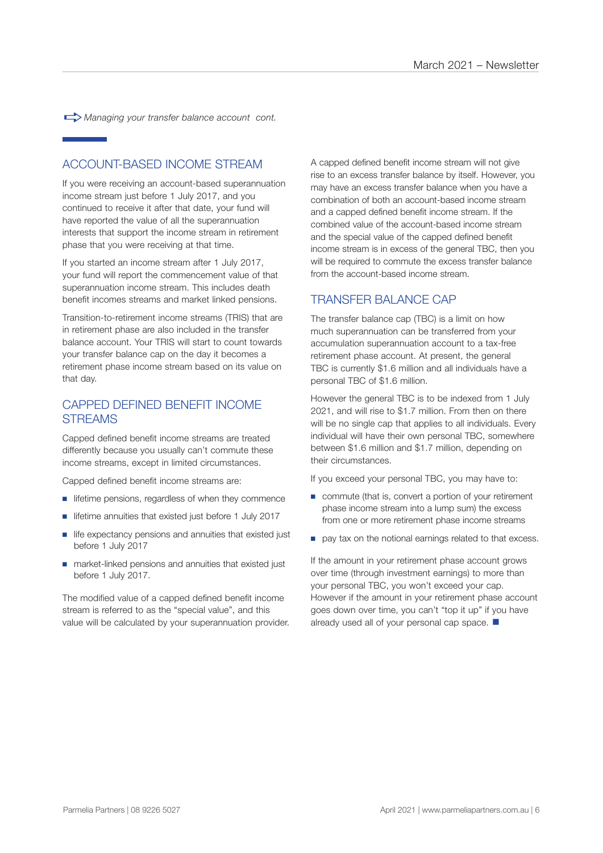a*Managing your transfer balance account cont.*

#### ACCOUNT-BASED INCOME STREAM

If you were receiving an account-based superannuation income stream just before 1 July 2017, and you continued to receive it after that date, your fund will have reported the value of all the superannuation interests that support the income stream in retirement phase that you were receiving at that time.

If you started an income stream after 1 July 2017, your fund will report the commencement value of that superannuation income stream. This includes death benefit incomes streams and market linked pensions.

Transition-to-retirement income streams (TRIS) that are in retirement phase are also included in the transfer balance account. Your TRIS will start to count towards your transfer balance cap on the day it becomes a retirement phase income stream based on its value on that day.

#### CAPPED DEFINED BENEFIT INCOME **STREAMS**

Capped defined benefit income streams are treated differently because you usually can't commute these income streams, except in limited circumstances.

Capped defined benefit income streams are:

- lifetime pensions, regardless of when they commence
- lifetime annuities that existed just before 1 July 2017
- life expectancy pensions and annuities that existed just before 1 July 2017
- market-linked pensions and annuities that existed just before 1 July 2017.

The modified value of a capped defined benefit income stream is referred to as the "special value", and this value will be calculated by your superannuation provider.

A capped defined benefit income stream will not give rise to an excess transfer balance by itself. However, you may have an excess transfer balance when you have a combination of both an account-based income stream and a capped defined benefit income stream. If the combined value of the account-based income stream and the special value of the capped defined benefit income stream is in excess of the general TBC, then you will be required to commute the excess transfer balance from the account-based income stream.

#### TRANSFER BALANCE CAP

The transfer balance cap (TBC) is a limit on how much superannuation can be transferred from your accumulation superannuation account to a tax-free retirement phase account. At present, the general TBC is currently \$1.6 million and all individuals have a personal TBC of \$1.6 million.

However the general TBC is to be indexed from 1 July 2021, and will rise to \$1.7 million. From then on there will be no single cap that applies to all individuals. Every individual will have their own personal TBC, somewhere between \$1.6 million and \$1.7 million, depending on their circumstances.

If you exceed your personal TBC, you may have to:

- commute (that is, convert a portion of your retirement phase income stream into a lump sum) the excess from one or more retirement phase income streams
- pay tax on the notional earnings related to that excess.

If the amount in your retirement phase account grows over time (through investment earnings) to more than your personal TBC, you won't exceed your cap. However if the amount in your retirement phase account goes down over time, you can't "top it up" if you have already used all of your personal cap space.  $\blacksquare$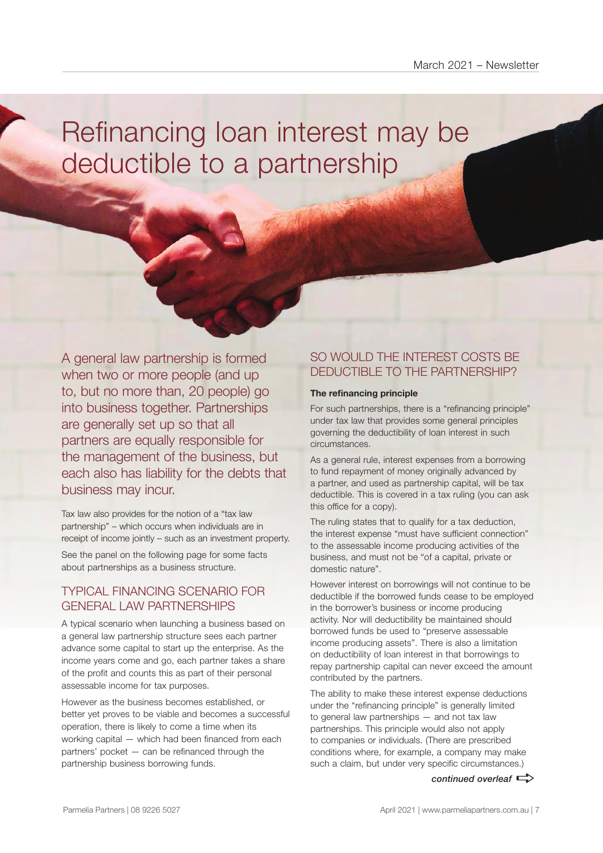# Refinancing loan interest may be deductible to a partnership

A general law partnership is formed when two or more people (and up to, but no more than, 20 people) go into business together. Partnerships are generally set up so that all partners are equally responsible for the management of the business, but each also has liability for the debts that business may incur.

Tax law also provides for the notion of a "tax law partnership" – which occurs when individuals are in receipt of income jointly – such as an investment property.

See the panel on the following page for some facts about partnerships as a business structure.

#### TYPICAL FINANCING SCENARIO FOR GENERAL LAW PARTNERSHIPS

A typical scenario when launching a business based on a general law partnership structure sees each partner advance some capital to start up the enterprise. As the income years come and go, each partner takes a share of the profit and counts this as part of their personal assessable income for tax purposes.

However as the business becomes established, or better yet proves to be viable and becomes a successful operation, there is likely to come a time when its working capital — which had been financed from each partners' pocket — can be refinanced through the partnership business borrowing funds.

### SO WOULD THE INTEREST COSTS BE DEDUCTIBLE TO THE PARTNERSHIP?

#### **The refinancing principle**

For such partnerships, there is a "refinancing principle" under tax law that provides some general principles governing the deductibility of loan interest in such circumstances.

As a general rule, interest expenses from a borrowing to fund repayment of money originally advanced by a partner, and used as partnership capital, will be tax deductible. This is covered in a tax ruling (you can ask this office for a copy).

The ruling states that to qualify for a tax deduction, the interest expense "must have sufficient connection" to the assessable income producing activities of the business, and must not be "of a capital, private or domestic nature".

However interest on borrowings will not continue to be deductible if the borrowed funds cease to be employed in the borrower's business or income producing activity. Nor will deductibility be maintained should borrowed funds be used to "preserve assessable income producing assets". There is also a limitation on deductibility of loan interest in that borrowings to repay partnership capital can never exceed the amount contributed by the partners.

The ability to make these interest expense deductions under the "refinancing principle" is generally limited to general law partnerships — and not tax law partnerships. This principle would also not apply to companies or individuals. (There are prescribed conditions where, for example, a company may make such a claim, but under very specific circumstances.)

*continued overleaf*  $\Rightarrow$